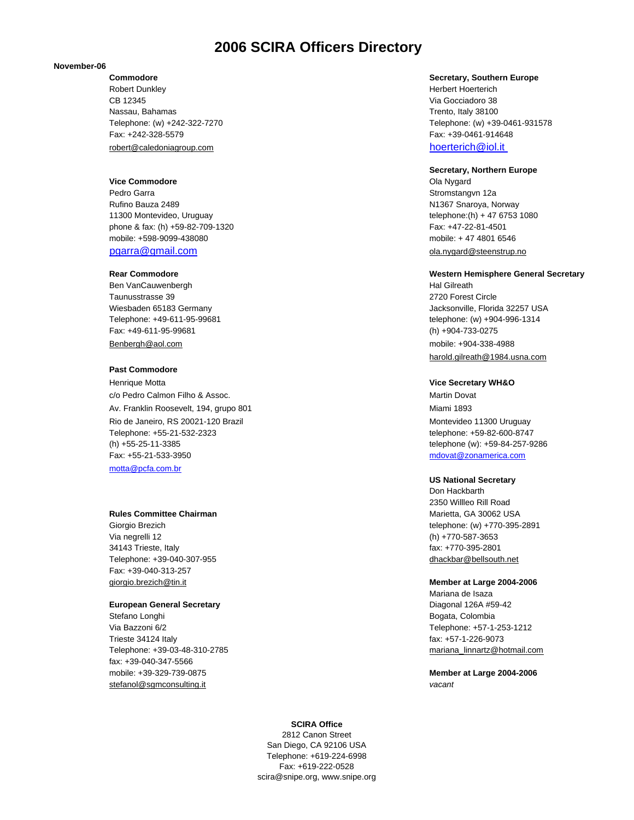# **2006 SCIRA Officers Directory**

### **November-06**

Robert Dunkley **Herbert Hoerterich** Herbert Hoerterich CB 12345 Via Gocciadoro 38 Nassau, Bahamas Trento, Italy 38100 Fax: +242-328-5579 Fax: +39-0461-914648 robert@caledoniagroup.com hoerterich@iol.it

### **Vice Commodore Ola Nygard Ola Nygard Ola Nygard Ola Nygard Ola Nygard Ola Nygard**

Pedro Garra Stromstangvn 12a Rufino Bauza 2489 National Association of the Case of the Case of the Case of the N1367 Snaroya, Norway 11300 Montevideo, Uruguay telephone:(h) + 47 6753 1080 phone & fax: (h) +59-82-709-1320 Fax: +47-22-81-4501 mobile: +598-9099-438080 mobile: + 47 4801 6546 pgarra@gmail.com **ola.nygard@steenstrup.no** 

Ben VanCauwenbergh **Hal Gilreath** Hal Gilreath Hal Gilreath Hal Gilreath Hal Gilreath Taunusstrasse 39 2720 Forest Circle Fax: +49-611-95-99681 (h) +904-733-0275 Benbergh@aol.com mobile: +904-338-4988

### **Past Commodore**

Henrique Motta **Vice Secretary WH&O** c/o Pedro Calmon Filho & Assoc. **Martin Dovat Martin Dovat** Av. Franklin Roosevelt, 194, grupo 801 Miami 1893 Rio de Janeiro, RS 20021-120 Brazil Montevideo 11300 Uruguay Telephone: +55-21-532-2323 telephone: +59-82-600-8747 (h) +55-25-11-3385 telephone (w): +59-84-257-9286 Fax: +55-21-533-3950 mdovat@zonamerica.com motta@pcfa.com.br

### **Rules Committee Chairman** Marietta, GA 30062 USA

Via negrelli 12 (h) +770-587-3653 34143 Trieste, Italy fax: +770-395-2801 Telephone: +39-040-307-955 dhackbar@bellsouth.net Fax: +39-040-313-257 giorgio.brezich@tin.it **Member at Large 2004-2006**

### **European General Secretary** Diagonal 126A #59-42

Stefano Longhi **Bogata, Colombia** Via Bazzoni 6/2 Telephone: +57-1-253-1212 Trieste 34124 Italy fax: +57-1-226-9073 Telephone: +39-03-48-310-2785 mariana\_linnartz@hotmail.com fax: +39-040-347-5566 mobile: +39-329-739-0875 **Member at Large 2004-2006** stefanol@sgmconsulting.it *vacant*

### **Commodore Secretary, Southern Europe**

Telephone: (w) +242-322-7270 Telephone: (w) +39-0461-931578

### **Secretary, Northern Europe**

### **Rear Commodore Western Hemisphere General Secretary Rear Commodore** Western Hemisphere General Secretary

Wiesbaden 65183 Germany Jacksonville, Florida 32257 USA Telephone: +49-611-95-99681 telephone: (w) +904-996-1314 harold.gilreath@1984.usna.com

### **US National Secretary**

Don Hackbarth 2350 Willleo Rill Road Giorgio Brezich telephone: (w) +770-395-2891

Mariana de Isaza

### **SCIRA Office**

2812 Canon Street San Diego, CA 92106 USA Telephone: +619-224-6998 Fax: +619-222-0528 scira@snipe.org, www.snipe.org